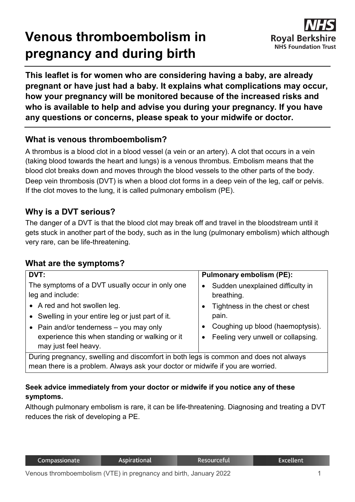# **Venous thromboembolism in pregnancy and during birth**



**This leaflet is for women who are considering having a baby, are already pregnant or have just had a baby. It explains what complications may occur, how your pregnancy will be monitored because of the increased risks and who is available to help and advise you during your pregnancy. If you have any questions or concerns, please speak to your midwife or doctor.**

#### **What is venous thromboembolism?**

A thrombus is a blood clot in a blood vessel (a vein or an artery). A clot that occurs in a vein (taking blood towards the heart and lungs) is a venous thrombus. Embolism means that the blood clot breaks down and moves through the blood vessels to the other parts of the body. Deep vein thrombosis (DVT) is when a blood clot forms in a deep vein of the leg, calf or pelvis. If the clot moves to the lung, it is called pulmonary embolism (PE).

## **Why is a DVT serious?**

The danger of a DVT is that the blood clot may break off and travel in the bloodstream until it gets stuck in another part of the body, such as in the lung (pulmonary embolism) which although very rare, can be life-threatening.

## **What are the symptoms?**

| DVT:                                                                                                                                                                                                     | <b>Pulmonary embolism (PE):</b>                                                                                                 |  |  |  |
|----------------------------------------------------------------------------------------------------------------------------------------------------------------------------------------------------------|---------------------------------------------------------------------------------------------------------------------------------|--|--|--|
| The symptoms of a DVT usually occur in only one<br>leg and include:                                                                                                                                      | Sudden unexplained difficulty in<br>$\bullet$<br>breathing.                                                                     |  |  |  |
| • A red and hot swollen leg.<br>• Swelling in your entire leg or just part of it.<br>• Pain and/or tenderness $-$ you may only<br>experience this when standing or walking or it<br>may just feel heavy. | Tightness in the chest or chest<br>pain.<br>Coughing up blood (haemoptysis).<br>Feeling very unwell or collapsing.<br>$\bullet$ |  |  |  |
| During pregnancy, swelling and discomfort in both legs is common and does not always                                                                                                                     |                                                                                                                                 |  |  |  |
| mean there is a problem. Always ask your doctor or midwife if you are worried.                                                                                                                           |                                                                                                                                 |  |  |  |

#### **Seek advice immediately from your doctor or midwife if you notice any of these symptoms.**

Although pulmonary embolism is rare, it can be life-threatening. Diagnosing and treating a DVT reduces the risk of developing a PE.

Resourceful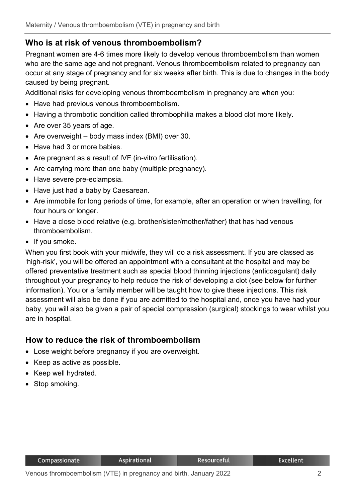## **Who is at risk of venous thromboembolism?**

Pregnant women are 4-6 times more likely to develop venous thromboembolism than women who are the same age and not pregnant. Venous thromboembolism related to pregnancy can occur at any stage of pregnancy and for six weeks after birth. This is due to changes in the body caused by being pregnant.

Additional risks for developing venous thromboembolism in pregnancy are when you:

- Have had previous venous thromboembolism.
- Having a thrombotic condition called thrombophilia makes a blood clot more likely.
- Are over 35 years of age.
- Are overweight body mass index (BMI) over 30.
- Have had 3 or more babies.
- Are pregnant as a result of IVF (in-vitro fertilisation).
- Are carrying more than one baby (multiple pregnancy).
- Have severe pre-eclampsia.
- Have just had a baby by Caesarean.
- Are immobile for long periods of time, for example, after an operation or when travelling, for four hours or longer.
- Have a close blood relative (e.g. brother/sister/mother/father) that has had venous thromboembolism.
- If you smoke.

When you first book with your midwife, they will do a risk assessment. If you are classed as 'high-risk', you will be offered an appointment with a consultant at the hospital and may be offered preventative treatment such as special blood thinning injections (anticoagulant) daily throughout your pregnancy to help reduce the risk of developing a clot (see below for further information). You or a family member will be taught how to give these injections. This risk assessment will also be done if you are admitted to the hospital and, once you have had your baby, you will also be given a pair of special compression (surgical) stockings to wear whilst you are in hospital.

#### **How to reduce the risk of thromboembolism**

- Lose weight before pregnancy if you are overweight.
- Keep as active as possible.
- Keep well hydrated.
- Stop smoking.

Resourceful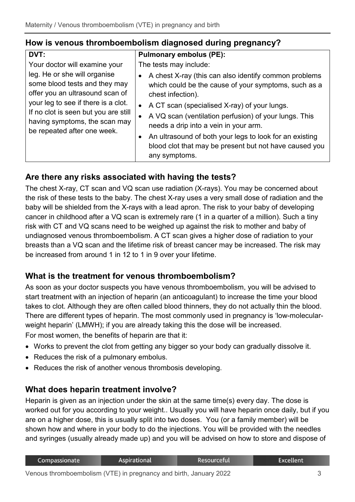#### **How is venous thromboembolism diagnosed during pregnancy?**

| <b>DVT:</b>                                                                                                                                                                                                                                     | <b>Pulmonary embolus (PE):</b>                                                                                                                                                                                                                                                                                                                                                                                                          |
|-------------------------------------------------------------------------------------------------------------------------------------------------------------------------------------------------------------------------------------------------|-----------------------------------------------------------------------------------------------------------------------------------------------------------------------------------------------------------------------------------------------------------------------------------------------------------------------------------------------------------------------------------------------------------------------------------------|
| Your doctor will examine your                                                                                                                                                                                                                   | The tests may include:                                                                                                                                                                                                                                                                                                                                                                                                                  |
| leg. He or she will organise<br>some blood tests and they may<br>offer you an ultrasound scan of<br>your leg to see if there is a clot.<br>If no clot is seen but you are still<br>having symptoms, the scan may<br>be repeated after one week. | A chest X-ray (this can also identify common problems<br>which could be the cause of your symptoms, such as a<br>chest infection).<br>A CT scan (specialised X-ray) of your lungs.<br>$\bullet$<br>A VQ scan (ventilation perfusion) of your lungs. This<br>needs a drip into a vein in your arm.<br>An ultrasound of both your legs to look for an existing<br>blood clot that may be present but not have caused you<br>any symptoms. |

## **Are there any risks associated with having the tests?**

The chest X-ray, CT scan and VQ scan use radiation (X-rays). You may be concerned about the risk of these tests to the baby. The chest X-ray uses a very small dose of radiation and the baby will be shielded from the X-rays with a lead apron. The risk to your baby of developing cancer in childhood after a VQ scan is extremely rare (1 in a quarter of a million). Such a tiny risk with CT and VQ scans need to be weighed up against the risk to mother and baby of undiagnosed venous thromboembolism. A CT scan gives a higher dose of radiation to your breasts than a VQ scan and the lifetime risk of breast cancer may be increased. The risk may be increased from around 1 in 12 to 1 in 9 over your lifetime.

## **What is the treatment for venous thromboembolism?**

As soon as your doctor suspects you have venous thromboembolism, you will be advised to start treatment with an injection of heparin (an anticoagulant) to increase the time your blood takes to clot. Although they are often called blood thinners, they do not actually thin the blood. There are different types of heparin. The most commonly used in pregnancy is 'low-molecularweight heparin' (LMWH); if you are already taking this the dose will be increased. For most women, the benefits of heparin are that it:

- Works to prevent the clot from getting any bigger so your body can gradually dissolve it.
- Reduces the risk of a pulmonary embolus.
- Reduces the risk of another venous thrombosis developing.

## **What does heparin treatment involve?**

Heparin is given as an injection under the skin at the same time(s) every day. The dose is worked out for you according to your weight.. Usually you will have heparin once daily, but if you are on a higher dose, this is usually split into two doses. You (or a family member) will be shown how and where in your body to do the injections. You will be provided with the needles and syringes (usually already made up) and you will be advised on how to store and dispose of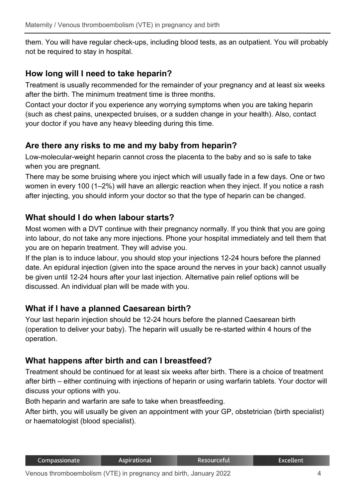them. You will have regular check-ups, including blood tests, as an outpatient. You will probably not be required to stay in hospital.

#### **How long will I need to take heparin?**

Treatment is usually recommended for the remainder of your pregnancy and at least six weeks after the birth. The minimum treatment time is three months.

Contact your doctor if you experience any worrying symptoms when you are taking heparin (such as chest pains, unexpected bruises, or a sudden change in your health). Also, contact your doctor if you have any heavy bleeding during this time.

## **Are there any risks to me and my baby from heparin?**

Low-molecular-weight heparin cannot cross the placenta to the baby and so is safe to take when you are pregnant.

There may be some bruising where you inject which will usually fade in a few days. One or two women in every 100 (1–2%) will have an allergic reaction when they inject. If you notice a rash after injecting, you should inform your doctor so that the type of heparin can be changed.

#### **What should I do when labour starts?**

Most women with a DVT continue with their pregnancy normally. If you think that you are going into labour, do not take any more injections. Phone your hospital immediately and tell them that you are on heparin treatment. They will advise you.

If the plan is to induce labour, you should stop your injections 12-24 hours before the planned date. An epidural injection (given into the space around the nerves in your back) cannot usually be given until 12-24 hours after your last injection. Alternative pain relief options will be discussed. An individual plan will be made with you.

## **What if I have a planned Caesarean birth?**

Your last heparin injection should be 12-24 hours before the planned Caesarean birth (operation to deliver your baby). The heparin will usually be re-started within 4 hours of the operation.

#### **What happens after birth and can I breastfeed?**

Treatment should be continued for at least six weeks after birth. There is a choice of treatment after birth – either continuing with injections of heparin or using warfarin tablets. Your doctor will discuss your options with you.

Both heparin and warfarin are safe to take when breastfeeding.

After birth, you will usually be given an appointment with your GP, obstetrician (birth specialist) or haematologist (blood specialist).

**Excellent**